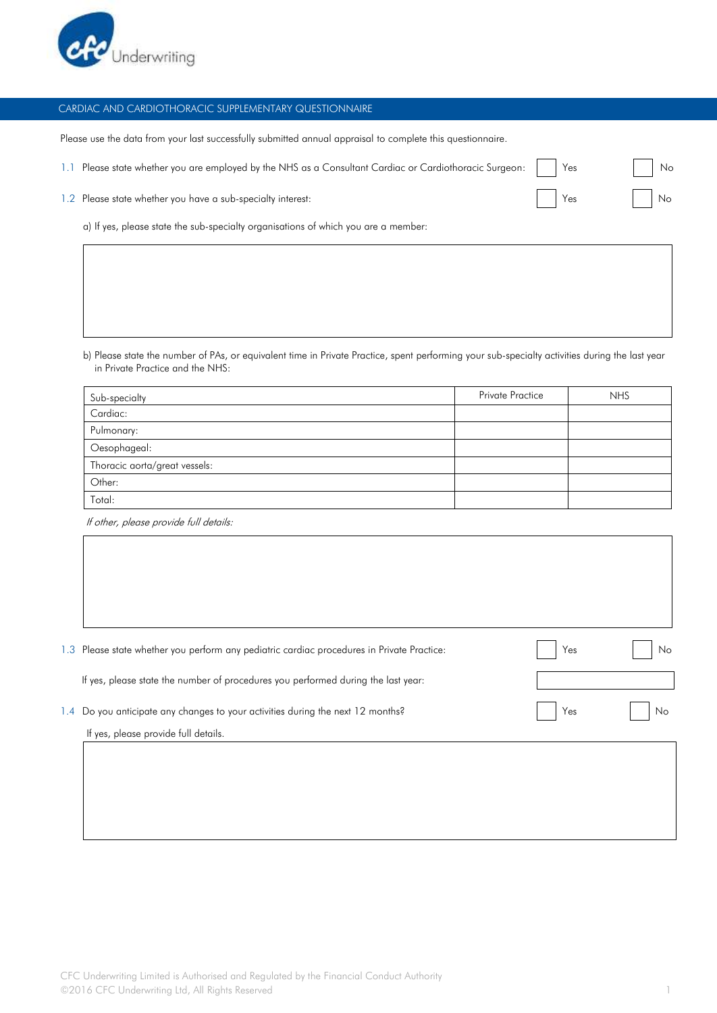

## CARDIAC AND CARDIOTHORACIC SUPPLEMENTARY QUESTIONNAIRE

Please use the data from your last successfully submitted annual appraisal to complete this questionnaire.

1.1 Please state whether you are employed by the NHS as a Consultant Cardiac or Cardiothoracic Surgeon: | | Yes | | No

1.2 Please state whether you have a sub-specialty interest:  $\blacksquare$  Yes  $\blacksquare$  Yes  $\blacksquare$  No

a) If yes, please state the sub-specialty organisations of which you are a member:

b) Please state the number of PAs, or equivalent time in Private Practice, spent performing your sub-specialty activities during the last year in Private Practice and the NHS:

| Sub-specialty                 | <b>Private Practice</b> | <b>NHS</b> |
|-------------------------------|-------------------------|------------|
| Cardiac:                      |                         |            |
| Pulmonary:                    |                         |            |
| Oesophageal:                  |                         |            |
| Thoracic aorta/great vessels: |                         |            |
| Other:                        |                         |            |
| Total:                        |                         |            |

If other, please provide full details:

|                 | 1.3 Please state whether you perform any pediatric cardiac procedures in Private Practice: | Yes | No |
|-----------------|--------------------------------------------------------------------------------------------|-----|----|
|                 | If yes, please state the number of procedures you performed during the last year:          |     |    |
| $\mathsf{I}$ .4 | Do you anticipate any changes to your activities during the next 12 months?                | Yes | No |
|                 | If yes, please provide full details.                                                       |     |    |
|                 |                                                                                            |     |    |
|                 |                                                                                            |     |    |
|                 |                                                                                            |     |    |
|                 |                                                                                            |     |    |
|                 |                                                                                            |     |    |